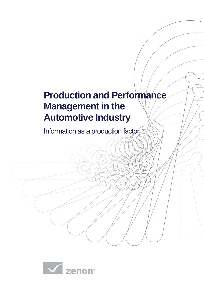# **Production and Performance Management in the Automotive Industry**

Information as a production factor

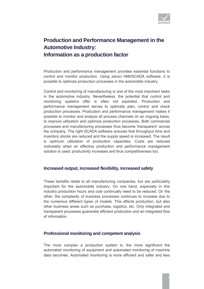

## **Production and Performance Management in the Automotive Industry: Information as a production factor**

Production and performance management provides essential functions to control and monitor production. Using zenon HMI/SCADA software, it is possible to optimize production processes in the automobile industry.

Control and monitoring of manufacturing is one of the most important tasks in the automotive industry. Nevertheless, the potential that control and monitoring systems offer is often not exploited. Production and performance management serves to optimally plan, control and check production processes. Production and performance management makes it possible to monitor and analyze all process channels on an ongoing basis, to improve utilization and optimize production processes. Both commercial processes and manufacturing processes thus become 'transparent' across the company. The right SCADA software ensures that throughput time and inventory stocks are reduced and the supply speed is increased. The result is optimum utilization of production capacities. Costs are reduced noticeably when an effective production and performance management solution is used; productivity increases and thus competitiveness too.

#### **Increased output, increased flexibility, increased safety**

These benefits relate to all manufacturing companies, but are particularly important for the automobile industry. On one hand, especially in this industry production hours and cost continually need to be reduced. On the other, the complexity of business processes continues to increase due to the numerous different types of models. This affects production, but also other business areas such as purchase, logistics, etc. Only integrated and transparent processes guarantee efficient production and an integrated flow of information.

#### **Professional monitoring and competent analysis**

The more complex a production system is, the more significant the automated monitoring of equipment and automated monitoring of machine data becomes. Automated monitoring is more efficient and safer and less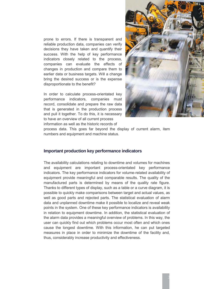prone to errors. If there is transparent and reliable production data, companies can verify decisions they have taken and quantify their success. With the help of key performance indicators closely related to the process, companies can evaluate the effects of changes in production and compare them to earlier data or business targets. Will a change bring the desired success or is the expense disproportionate to the benefit?

In order to calculate process-orientated key performance indicators, companies must record, consolidate and prepare the raw data that is generated in the production process and pull it together. To do this, it is necessary to have an overview of all current process information as well as the historic records of



process data. This goes far beyond the display of current alarm, item numbers and equipment and machine status.

#### **Important production key performance indicators**

The availability calculations relating to downtime and volumes for machines and equipment are important process-orientated key performance indicators. The key performance indicators for volume-related availability of equipment provide meaningful and comparable results. The quality of the manufactured parts is determined by means of the quality rate figure. Thanks to different types of display, such as a table or a curve diagram, it is possible to quickly make comparisons between target and actual values, as well as good parts and rejected parts. The statistical evaluation of alarm data and unplanned downtime make it possible to localize and reveal weak points in the system. One of these key performance indicators is availability in relation to equipment downtime. In addition, the statistical evaluation of the alarm data provides a meaningful overview of problems. In this way, the user can quickly find out which problems occur most often and which ones cause the longest downtime. With this information, he can put targeted measures in place in order to minimize the downtime of the facility and, thus, considerably increase productivity and effectiveness.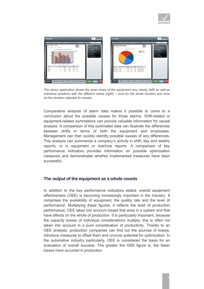



*The zenon application shows the down times of the equipment very clearly (left) as well as individual problems with the different robots (right) – once for the whole duration and once for the duration adjusted for breaks.* 

Comparative analysis of alarm data makes it possible to come to a conclusion about the possible causes for those alarms. Shift-related or equipment-related summations can provide valuable information for causal analysis. A comparison of this summated data can illustrate the differences between shifts in terms of both the equipment and employees. Management can then quickly identify possible causes of any differences. This analysis can summarize a company's activity in shift, day and weekly reports, or in equipment or machine reports. A comparison of key performance indicators provides information on possible optimization measures and demonstrates whether implemented measures have been successful.

#### **The output of the equipment as a whole counts**

In addition to the key performance indicators stated, overall equipment effectiveness (OEE) is becoming increasingly important in the industry. It comprises the availability of equipment, the quality rate and the level of performance. Multiplying these figures, it reflects the level of production performance. OEE takes into account losses that arise in a system and that have effects on the whole of production. It is particularly important, because the capacity losses of individual considerations multiply; this is often not taken into account in a pure consideration of productivity. Thanks to an OEE analysis, production companies can find out the sources of losses, introduce measures to offset them and uncover potential for optimization. In the automotive industry particularly, OEE is considered the basis for an evaluation of overall success. The greater the OEE figure is, the fewer losses have occurred in production.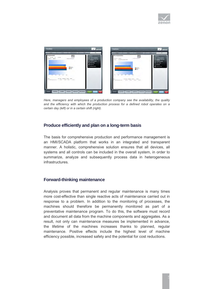



*Here, managers and employees of a production company see the availability, the quality and the efficiency with which the production process for a defined robot operates on a certain day (left) or in a certain shift (right).* 

#### **Produce efficiently and plan on a long-term basis**

The basis for comprehensive production and performance management is an HMI/SCADA platform that works in an integrated and transparent manner. A holistic, comprehensive solution ensures that all devices, all systems and all controls can be included in the overall system, in order to summarize, analyze and subsequently process data in heterogeneous infrastructures.

#### **Forward-thinking maintenance**

Analysis proves that permanent and regular maintenance is many times more cost-effective than single reactive acts of maintenance carried out in response to a problem. In addition to the monitoring of processes, the machines should therefore be permanently monitored as part of a preventative maintenance program. To do this, the software must record and document all data from the machine components and aggregates. As a result, not only can maintenance measures be implemented in advance, the lifetime of the machines increases thanks to planned, regular maintenance. Positive effects include the highest level of machine efficiency possible, increased safety and the potential for cost reductions.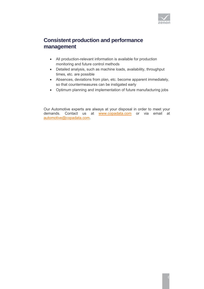

### **Consistent production and performance management**

- All production-relevant information is available for production monitoring and future control methods
- Detailed analysis, such as machine loads, availability, throughput times, etc. are possible
- Absences, deviations from plan, etc. become apparent immediately, so that countermeasures can be instigated early
- Optimum planning and implementation of future manufacturing jobs

Our Automotive experts are always at your disposal in order to meet your demands. Contact us at [www.copadata.com](http://www.copadata.com/) or via email at [automotive@copadata.com.](mailto:automotive@copadata.com)